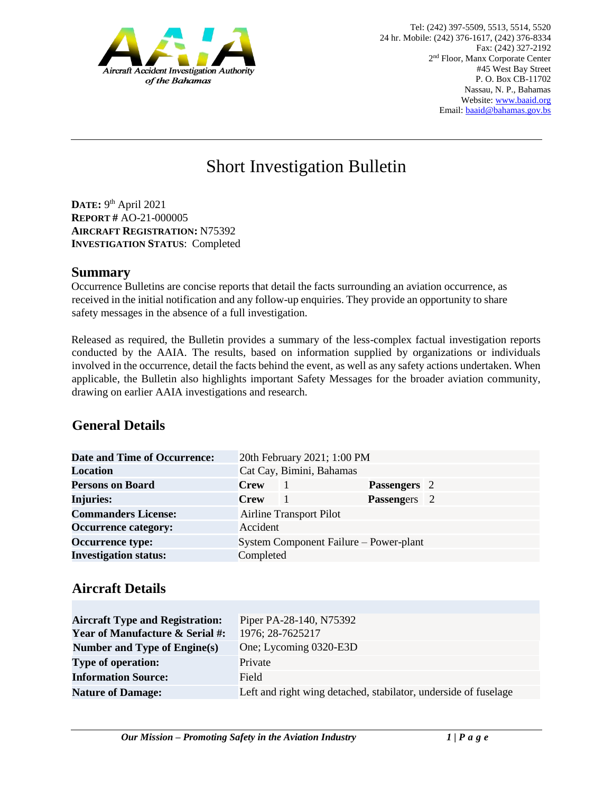

# Short Investigation Bulletin

**DATE:** 9 th April 2021 **REPORT #** AO-21-000005 **AIRCRAFT REGISTRATION:** N75392 **INVESTIGATION STATUS**: Completed

#### **Summary**

Occurrence Bulletins are concise reports that detail the facts surrounding an aviation occurrence, as received in the initial notification and any follow-up enquiries. They provide an opportunity to share safety messages in the absence of a full investigation*.* 

Released as required, the Bulletin provides a summary of the less-complex factual investigation reports conducted by the AAIA. The results, based on information supplied by organizations or individuals involved in the occurrence, detail the facts behind the event, as well as any safety actions undertaken. When applicable, the Bulletin also highlights important Safety Messages for the broader aviation community, drawing on earlier AAIA investigations and research.

# **General Details**

| <b>Date and Time of Occurrence:</b> |                                | 20th February 2021; 1:00 PM            |                     |  |
|-------------------------------------|--------------------------------|----------------------------------------|---------------------|--|
| <b>Location</b>                     |                                | Cat Cay, Bimini, Bahamas               |                     |  |
| <b>Persons on Board</b>             | <b>Crew</b>                    |                                        | <b>Passengers</b> 2 |  |
| Injuries:                           | <b>Crew</b>                    |                                        | <b>Passengers</b> 2 |  |
| <b>Commanders License:</b>          | <b>Airline Transport Pilot</b> |                                        |                     |  |
| <b>Occurrence category:</b>         | Accident                       |                                        |                     |  |
| <b>Occurrence type:</b>             |                                | System Component Failure – Power-plant |                     |  |
| <b>Investigation status:</b>        | Completed                      |                                        |                     |  |

## **Aircraft Details**

| <b>Aircraft Type and Registration:</b><br><b>Year of Manufacture &amp; Serial #:</b> | Piper PA-28-140, N75392<br>1976; 28-7625217                     |
|--------------------------------------------------------------------------------------|-----------------------------------------------------------------|
| Number and Type of Engine(s)                                                         | One; Lycoming 0320-E3D                                          |
| <b>Type of operation:</b>                                                            | Private                                                         |
| <b>Information Source:</b>                                                           | Field                                                           |
| <b>Nature of Damage:</b>                                                             | Left and right wing detached, stabilator, underside of fuselage |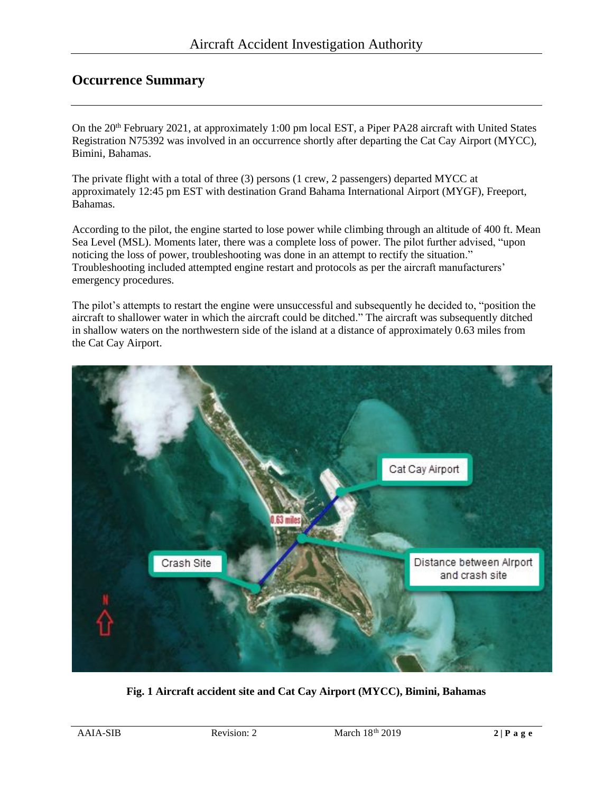## **Occurrence Summary**

On the 20<sup>th</sup> February 2021, at approximately 1:00 pm local EST, a Piper PA28 aircraft with United States Registration N75392 was involved in an occurrence shortly after departing the Cat Cay Airport (MYCC), Bimini, Bahamas.

The private flight with a total of three (3) persons (1 crew, 2 passengers) departed MYCC at approximately 12:45 pm EST with destination Grand Bahama International Airport (MYGF), Freeport, Bahamas.

According to the pilot, the engine started to lose power while climbing through an altitude of 400 ft. Mean Sea Level (MSL). Moments later, there was a complete loss of power. The pilot further advised, "upon noticing the loss of power, troubleshooting was done in an attempt to rectify the situation." Troubleshooting included attempted engine restart and protocols as per the aircraft manufacturers' emergency procedures.

The pilot's attempts to restart the engine were unsuccessful and subsequently he decided to, "position the aircraft to shallower water in which the aircraft could be ditched." The aircraft was subsequently ditched in shallow waters on the northwestern side of the island at a distance of approximately 0.63 miles from the Cat Cay Airport.



**Fig. 1 Aircraft accident site and Cat Cay Airport (MYCC), Bimini, Bahamas**